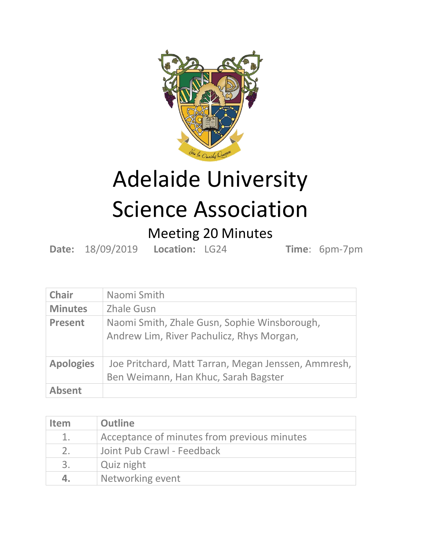

## Adelaide University Science Association

## Meeting 20 Minutes

**Date:** 18/09/2019 **Location:** LG24 **Time**: 6pm-7pm

| <b>Chair</b>     | Naomi Smith                                                                                 |
|------------------|---------------------------------------------------------------------------------------------|
| <b>Minutes</b>   | <b>Zhale Gusn</b>                                                                           |
| <b>Present</b>   | Naomi Smith, Zhale Gusn, Sophie Winsborough,<br>Andrew Lim, River Pachulicz, Rhys Morgan,   |
| <b>Apologies</b> | Joe Pritchard, Matt Tarran, Megan Jenssen, Ammresh,<br>Ben Weimann, Han Khuc, Sarah Bagster |
| <b>Absent</b>    |                                                                                             |

| <b>Item</b>    | <b>Outline</b>                              |
|----------------|---------------------------------------------|
| 1.             | Acceptance of minutes from previous minutes |
| 2 <sub>1</sub> | Joint Pub Crawl - Feedback                  |
| 3.             | Quiz night                                  |
| 4.             | Networking event                            |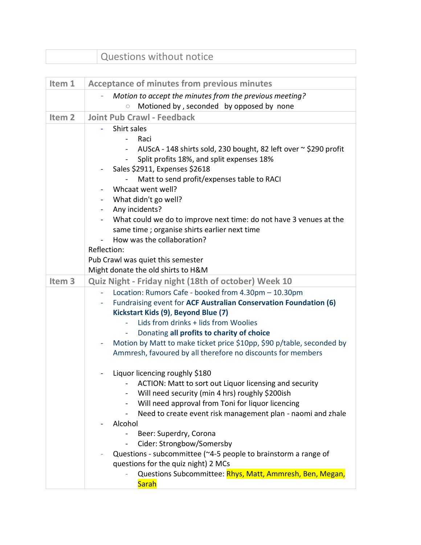| Questions without notice |  |
|--------------------------|--|
|                          |  |

| Item 1            | <b>Acceptance of minutes from previous minutes</b>                                |
|-------------------|-----------------------------------------------------------------------------------|
|                   | Motion to accept the minutes from the previous meeting?                           |
|                   | Motioned by, seconded by opposed by none<br>$\circ$                               |
| Item <sub>2</sub> | <b>Joint Pub Crawl - Feedback</b>                                                 |
|                   | Shirt sales                                                                       |
|                   | Raci<br>$\blacksquare$                                                            |
|                   | AUScA - 148 shirts sold, 230 bought, 82 left over ~ \$290 profit                  |
|                   | Split profits 18%, and split expenses 18%<br>$\blacksquare$                       |
|                   | Sales \$2911, Expenses \$2618                                                     |
|                   | Matt to send profit/expenses table to RACI                                        |
|                   | Whcaat went well?                                                                 |
|                   | What didn't go well?<br>$\blacksquare$<br>Any incidents?<br>$\blacksquare$        |
|                   | What could we do to improve next time: do not have 3 venues at the                |
|                   | same time; organise shirts earlier next time                                      |
|                   | How was the collaboration?                                                        |
|                   | Reflection:                                                                       |
|                   | Pub Crawl was quiet this semester                                                 |
|                   | Might donate the old shirts to H&M                                                |
| Item <sub>3</sub> | Quiz Night - Friday night (18th of october) Week 10                               |
|                   | Location: Rumors Cafe - booked from 4.30pm - 10.30pm<br>$\mathbb{L}^{\mathbb{N}}$ |
|                   | Fundraising event for ACF Australian Conservation Foundation (6)                  |
|                   | Kickstart Kids (9), Beyond Blue (7)                                               |
|                   | Lids from drinks + lids from Woolies                                              |
|                   | Donating all profits to charity of choice<br>÷                                    |
|                   | Motion by Matt to make ticket price \$10pp, \$90 p/table, seconded by             |
|                   | Ammresh, favoured by all therefore no discounts for members                       |
|                   | Liquor licencing roughly \$180                                                    |
|                   | - ACTION: Matt to sort out Liquor licensing and security                          |
|                   | Will need security (min 4 hrs) roughly \$200ish                                   |
|                   | Will need approval from Toni for liquor licencing<br>$\blacksquare$               |
|                   | Need to create event risk management plan - naomi and zhale                       |
|                   | Alcohol                                                                           |
|                   | Beer: Superdry, Corona                                                            |
|                   | Cider: Strongbow/Somersby                                                         |
|                   | Questions - subcommittee (~4-5 people to brainstorm a range of                    |
|                   | questions for the quiz night) 2 MCs                                               |
|                   | Questions Subcommittee: Rhys, Matt, Ammresh, Ben, Megan,                          |
|                   | <b>Sarah</b>                                                                      |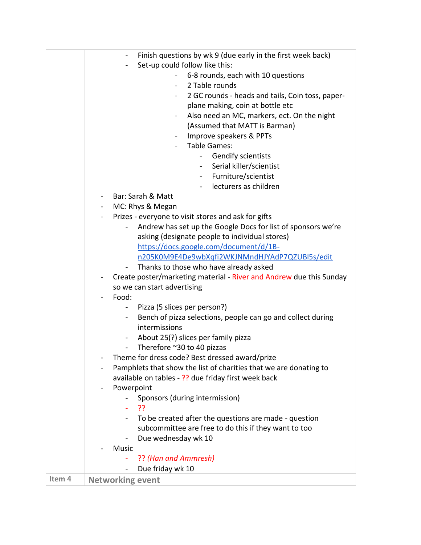|        | Finish questions by wk 9 (due early in the first week back)<br>$\blacksquare$<br>Set-up could follow like this:<br>$\blacksquare$<br>6-8 rounds, each with 10 questions<br>2 Table rounds<br>$\sim$<br>2 GC rounds - heads and tails, Coin toss, paper-<br>plane making, coin at bottle etc<br>Also need an MC, markers, ect. On the night<br>(Assumed that MATT is Barman)<br>Improve speakers & PPTs<br><b>Table Games:</b><br>Gendify scientists<br>$\overline{\phantom{a}}$<br>Serial killer/scientist<br>- Furniture/scientist<br>lecturers as children<br>Bar: Sarah & Matt<br>MC: Rhys & Megan |
|--------|-------------------------------------------------------------------------------------------------------------------------------------------------------------------------------------------------------------------------------------------------------------------------------------------------------------------------------------------------------------------------------------------------------------------------------------------------------------------------------------------------------------------------------------------------------------------------------------------------------|
|        | Prizes - everyone to visit stores and ask for gifts                                                                                                                                                                                                                                                                                                                                                                                                                                                                                                                                                   |
|        | Andrew has set up the Google Docs for list of sponsors we're                                                                                                                                                                                                                                                                                                                                                                                                                                                                                                                                          |
|        | asking (designate people to individual stores)                                                                                                                                                                                                                                                                                                                                                                                                                                                                                                                                                        |
|        | https://docs.google.com/document/d/1B-                                                                                                                                                                                                                                                                                                                                                                                                                                                                                                                                                                |
|        | n205K0M9E4De9wbXqfi2WKJNMndHJYAdP7QZUBl5s/edit                                                                                                                                                                                                                                                                                                                                                                                                                                                                                                                                                        |
|        | Thanks to those who have already asked<br>$\qquad \qquad \blacksquare$                                                                                                                                                                                                                                                                                                                                                                                                                                                                                                                                |
|        | Create poster/marketing material - River and Andrew due this Sunday                                                                                                                                                                                                                                                                                                                                                                                                                                                                                                                                   |
|        | so we can start advertising                                                                                                                                                                                                                                                                                                                                                                                                                                                                                                                                                                           |
|        | Food:                                                                                                                                                                                                                                                                                                                                                                                                                                                                                                                                                                                                 |
|        | Pizza (5 slices per person?)                                                                                                                                                                                                                                                                                                                                                                                                                                                                                                                                                                          |
|        | Bench of pizza selections, people can go and collect during<br>$\sim$<br>intermissions                                                                                                                                                                                                                                                                                                                                                                                                                                                                                                                |
|        | About 25(?) slices per family pizza<br>$\blacksquare$                                                                                                                                                                                                                                                                                                                                                                                                                                                                                                                                                 |
|        | Therefore ~30 to 40 pizzas<br>$\sim 100$                                                                                                                                                                                                                                                                                                                                                                                                                                                                                                                                                              |
|        | Theme for dress code? Best dressed award/prize                                                                                                                                                                                                                                                                                                                                                                                                                                                                                                                                                        |
|        | Pamphlets that show the list of charities that we are donating to                                                                                                                                                                                                                                                                                                                                                                                                                                                                                                                                     |
|        | available on tables - ?? due friday first week back                                                                                                                                                                                                                                                                                                                                                                                                                                                                                                                                                   |
|        | Powerpoint                                                                                                                                                                                                                                                                                                                                                                                                                                                                                                                                                                                            |
|        | Sponsors (during intermission)                                                                                                                                                                                                                                                                                                                                                                                                                                                                                                                                                                        |
|        | ??<br>$\mathbf{u}$                                                                                                                                                                                                                                                                                                                                                                                                                                                                                                                                                                                    |
|        | To be created after the questions are made - question                                                                                                                                                                                                                                                                                                                                                                                                                                                                                                                                                 |
|        | subcommittee are free to do this if they want to too                                                                                                                                                                                                                                                                                                                                                                                                                                                                                                                                                  |
|        | Due wednesday wk 10                                                                                                                                                                                                                                                                                                                                                                                                                                                                                                                                                                                   |
|        | <b>Music</b>                                                                                                                                                                                                                                                                                                                                                                                                                                                                                                                                                                                          |
|        | ?? (Han and Ammresh)                                                                                                                                                                                                                                                                                                                                                                                                                                                                                                                                                                                  |
|        | Due friday wk 10                                                                                                                                                                                                                                                                                                                                                                                                                                                                                                                                                                                      |
| Item 4 | <b>Networking event</b>                                                                                                                                                                                                                                                                                                                                                                                                                                                                                                                                                                               |